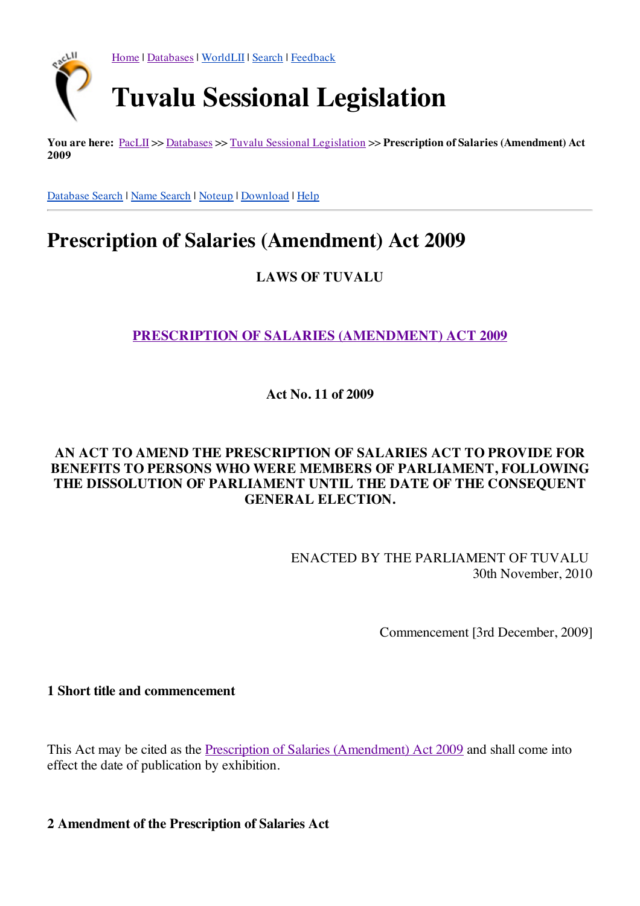

**You are here:** [PacLII](http://www.paclii.org/) >> [Databases](http://www.paclii.org/databases.html) >> Tuvalu Sessional [Legislation](http://www.paclii.org/tv/legis/num_act/) >> **Prescription of Salaries (Amendment) Act 2009**

[Database](http://www.paclii.org/form/search/search1.html?mask=tv/legis/num_act) Search | Name [Search](http://www.paclii.org/form/search/search1.html?mask=tv/legis/num_act&title=1) | [Noteup](http://www.paclii.org/cgi-bin/sinosrch.cgi?method=boolean&meta=/paclii&results=50&query=posa2009346) | [Download](http://www.paclii.org/tv/legis/num_act/posa2009346.rtf) | [Help](http://www.paclii.org/paclii/help/legis.html)

## **Prescription of Salaries (Amendment) Act 2009**

**LAWS OF TUVALU**

**[PRESCRIPTION](http://www.paclii.org/tv/legis/num_act/posa2009346/) OF SALARIES (AMENDMENT) ACT 2009**

**Act No. 11 of 2009**

## **AN ACT TO AMEND THE PRESCRIPTION OF SALARIES ACT TO PROVIDE FOR BENEFITS TO PERSONS WHO WERE MEMBERS OF PARLIAMENT, FOLLOWING THE DISSOLUTION OF PARLIAMENT UNTIL THE DATE OF THE CONSEQUENT GENERAL ELECTION.**

ENACTED BY THE PARLIAMENT OF TUVALU 30th November, 2010

Commencement [3rd December, 2009]

**1 Short title and commencement**

This Act may be cited as the Prescription of Salaries [\(Amendment\)](http://www.paclii.org/tv/legis/num_act/posa2009346/) Act 2009 and shall come into effect the date of publication by exhibition.

**2 Amendment of the Prescription of Salaries Act**